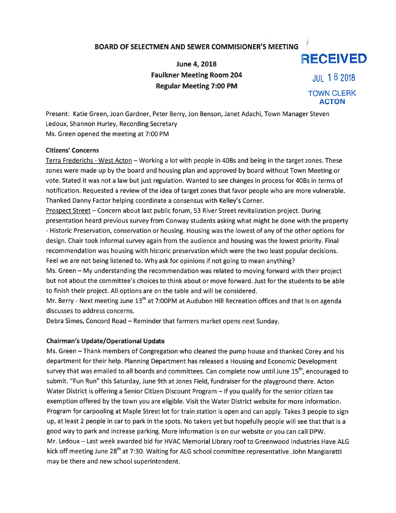## BOARD OF SELECTMEN AND SEWER COMMISIONER'S MEETING

June 4, 2018 **RECEIVED** Faulkner Meeting Room 204  $\frac{1}{18}$  182018 Regular Meeting 7:00 PM

TOWN CLERK ACTON

Present: Katie Green, Joan Gardner, Peter Berry, Jon Benson, Janet Adachi, Town Manager Steven Ledoux, Shannon Hurley, Recording Secretary Ms. Green opened the meeting at 7:00 PM

## Citizens' Concerns

Terra Frederichs - West Acton - Working a lot with people in 40Bs and being in the target zones. These zones were made up by the board and housing plan and approved by board without Town Meeting or vote. Stated it was not <sup>a</sup> law but just regulation. Wanted to see changes in process for 4OBs in terms of notification. Requested <sup>a</sup> review of the idea of target zones that favor people who are more vulnerable. Thanked Danny Factor helping coordinate <sup>a</sup> consensus with Kelley's Corner.

Prospect Street — Concern about last public forum, 53 River Street revitalization project. During presentation heard previous survey from Conway students asking what might be done with the property - Historic Preservation, conservation or housing. Housing was the lowest of any of the other options for design. Chair took informal survey again from the audience and housing was the lowest priority. Final recommendation was housing with historic preservation which were the two least popular decisions. Feel we are not being listened to. Why ask for opinions if not going to mean anything?

Ms. Green — My understanding the recommendation was related to moving forward with their project but not about the committee's choices to think about or move forward. Just for the students to be able to finish their project. All options are on the table and will be considered.

Mr. Berry - Next meeting June 13<sup>th</sup> at 7:00PM at Audubon Hill Recreation offices and that is on agenda discusses to address concerns.

Debra Simes, Concord Road — Reminder that farmers market opens next Sunday.

## Chairman's Update/Operational Update

Ms. Green — Thank members of Congregation who cleaned the pump house and thanked Corey and his department for their help. Planning Department has released <sup>a</sup> Housing and Economic Development survey that was emailed to all boards and committees. Can complete now until June 15<sup>th</sup>, encouraged to submit. "Fun Run" this Saturday, June 9th at Jones Field, fundraiser for the playground there. Acton Water District is offering <sup>a</sup> Senior Citizen Discount Program — If you qualify for the senior citizen tax exemption offered by the town you are eligible. Visit the Water District website for more information. Program for carpooling at Maple Street lot for train station is open and can apply. Takes 3 people to sign up, at least <sup>2</sup> people in car to park in the spots. No takers ye<sup>t</sup> but hopefully people will see that that is <sup>a</sup> good way to park and increase parking. More information is on our website or you can call DPW. Mr. Ledoux — Last week awarded bid for HVAC Memorial Library roof to Greenwood Industries Have ALG kick off meeting June 28<sup>th</sup> at 7:30. Waiting for ALG school committee representative. John Mangiaratti may be there and new school superintendent.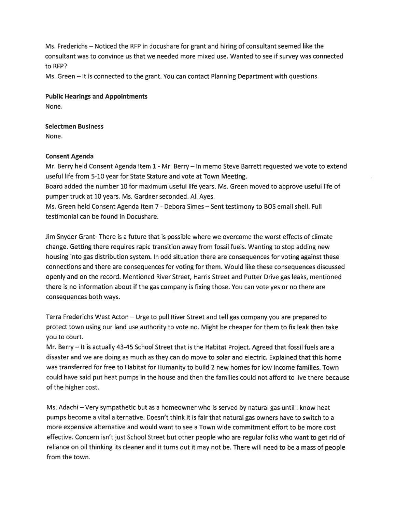Ms. Frederichs — Noticed the RFP in docushare for gran<sup>t</sup> and hiring of consultant seemed like the consultant was to convince us that we needed more mixed use. Wanted to see if survey was connected to RFP?

Ms. Green — It is connected to the grant. You can contact Planning Department with questions.

Public Hearings and Appointments None.

Selectmen Business None.

## Consent Agenda

Mr. Berry held Consent Agenda Item 1 -Mr. Berry — In memo Steve Barrett requested we vote to extend useful life from 5-10 year for State Stature and vote at Town Meeting.

Board added the number 10 for maximum useful life years. Ms. Green moved to approve useful life of pumper truck at 10 years. Ms. Gardner seconded. All Ayes.

Ms. Green held Consent Agenda Item 7 - Debora Simes - Sent testimony to BOS email shell. Full testimonial can be found in Docushare.

Jim Snyder Grant- There is <sup>a</sup> future that is possible where we overcome the worst effects of climate change. Getting there requires rapid transition away from fossil fuels. Wanting to stop adding new housing into gas distribution system. In odd situation there are consequences for voting against these connections and there are consequences for voting for them. Would like these consequences discussed openly and on the record. Mentioned River Street, Harris Street and Putter Drive gas leaks, mentioned there is no information about if the gas company is fixing those. You can vote yes or no there are consequences both ways.

Terra Frederichs West Acton — Urge to pull River Street and tell gas company you are prepared to protect town using our land use authority to vote no. Might be cheaper for them to fix leak then take you to court.

Mr. Berry — It is actually 43-45 School Street that is the Habitat Project. Agreed that fossil fuels are <sup>a</sup> disaster and we are doing as much as they can do move to solar and electric. Explained that this home was transferred for free to Habitat for Humanity to build 2 new homes for low income families. Town could have said pu<sup>t</sup> heat pumps in the house and then the families could not afford to live there because of the higher cost.

Ms. Adachi — Very sympathetic but as <sup>a</sup> homeowner who is served by natural gas until <sup>I</sup> know heat pumps become <sup>a</sup> vital alternative. Doesn't think it is fair that natural gas owners have to switch to <sup>a</sup> more expensive alternative and would want to see <sup>a</sup> Town wide commitment effort to be more cost effective. Concern isn't just School Street but other people who are regular folks who want to ge<sup>t</sup> rid of reliance on oil thinking its cleaner and it turns out it may not be. There will need to be <sup>a</sup> mass of people from the town.